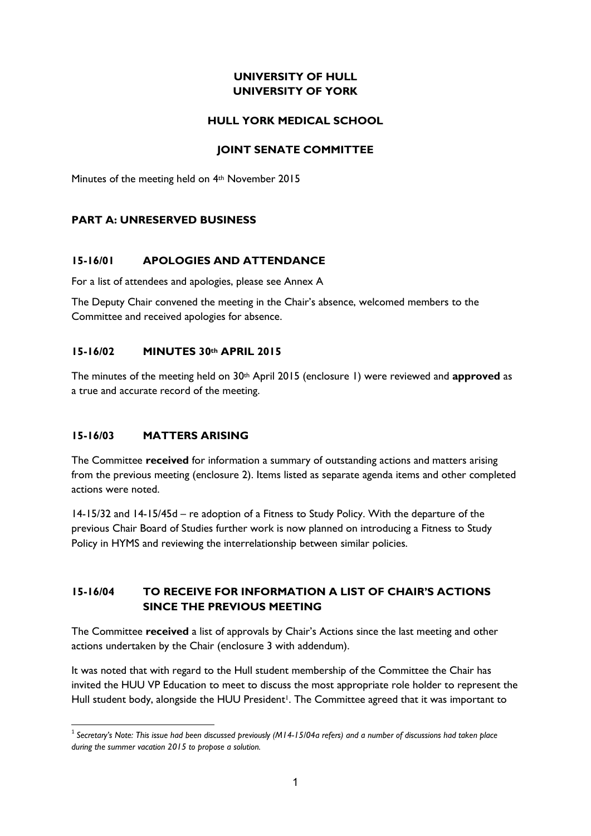## **UNIVERSITY OF HULL UNIVERSITY OF YORK**

### **HULL YORK MEDICAL SCHOOL**

### **JOINT SENATE COMMITTEE**

Minutes of the meeting held on 4<sup>th</sup> November 2015

### **PART A: UNRESERVED BUSINESS**

### **15-16/01 APOLOGIES AND ATTENDANCE**

For a list of attendees and apologies, please see Annex A

The Deputy Chair convened the meeting in the Chair's absence, welcomed members to the Committee and received apologies for absence.

### **15-16/02 MINUTES 30th APRIL 2015**

The minutes of the meeting held on 30<sup>th</sup> April 2015 (enclosure 1) were reviewed and **approved** as a true and accurate record of the meeting.

### **15-16/03 MATTERS ARISING**

The Committee **received** for information a summary of outstanding actions and matters arising from the previous meeting (enclosure 2). Items listed as separate agenda items and other completed actions were noted.

14-15/32 and 14-15/45d – re adoption of a Fitness to Study Policy. With the departure of the previous Chair Board of Studies further work is now planned on introducing a Fitness to Study Policy in HYMS and reviewing the interrelationship between similar policies.

## **15-16/04 TO RECEIVE FOR INFORMATION A LIST OF CHAIR'S ACTIONS SINCE THE PREVIOUS MEETING**

The Committee **received** a list of approvals by Chair's Actions since the last meeting and other actions undertaken by the Chair (enclosure 3 with addendum).

It was noted that with regard to the Hull student membership of the Committee the Chair has invited the HUU VP Education to meet to discuss the most appropriate role holder to represent the Hull student body, alongside the HUU President<sup>1</sup>. The Committee agreed that it was important to

<sup>1</sup> 1 *Secretary's Note: This issue had been discussed previously (M14-15/04a refers) and a number of discussions had taken place during the summer vacation 2015 to propose a solution.*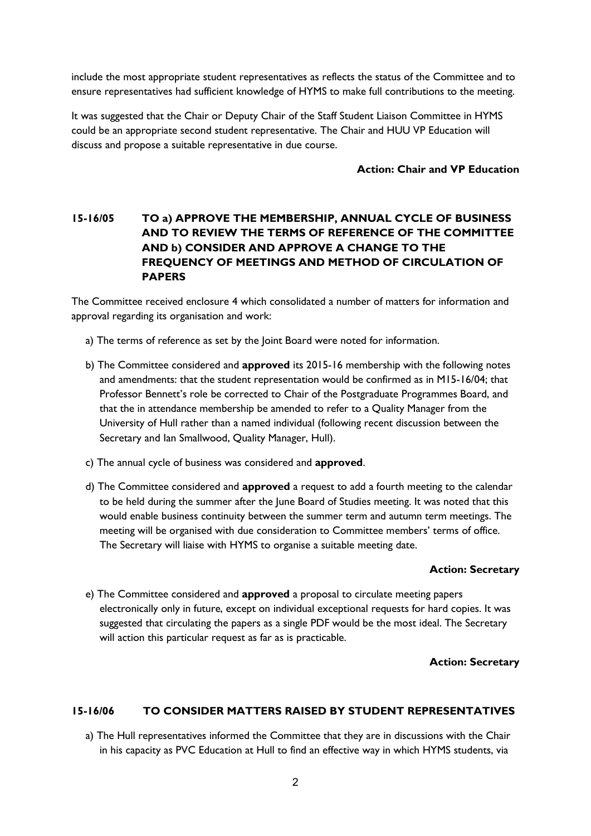include the most appropriate student representatives as reflects the status of the Committee and to ensure representatives had sufficient knowledge of HYMS to make full contributions to the meeting.

It was suggested that the Chair or Deputy Chair of the Staff Student Liaison Committee in HYMS could be an appropriate second student representative. The Chair and HUU VP Education will discuss and propose a suitable representative in due course.

### **Action: Chair and VP Education**

## **15-16/05 TO a) APPROVE THE MEMBERSHIP, ANNUAL CYCLE OF BUSINESS AND TO REVIEW THE TERMS OF REFERENCE OF THE COMMITTEE AND b) CONSIDER AND APPROVE A CHANGE TO THE FREQUENCY OF MEETINGS AND METHOD OF CIRCULATION OF PAPERS**

The Committee received enclosure 4 which consolidated a number of matters for information and approval regarding its organisation and work:

- a) The terms of reference as set by the Joint Board were noted for information.
- b) The Committee considered and **approved** its 2015-16 membership with the following notes and amendments: that the student representation would be confirmed as in M15-16/04; that Professor Bennett's role be corrected to Chair of the Postgraduate Programmes Board, and that the in attendance membership be amended to refer to a Quality Manager from the University of Hull rather than a named individual (following recent discussion between the Secretary and Ian Smallwood, Quality Manager, Hull).
- c) The annual cycle of business was considered and **approved**.
- d) The Committee considered and **approved** a request to add a fourth meeting to the calendar to be held during the summer after the June Board of Studies meeting. It was noted that this would enable business continuity between the summer term and autumn term meetings. The meeting will be organised with due consideration to Committee members' terms of office. The Secretary will liaise with HYMS to organise a suitable meeting date.

### **Action: Secretary**

e) The Committee considered and **approved** a proposal to circulate meeting papers electronically only in future, except on individual exceptional requests for hard copies. It was suggested that circulating the papers as a single PDF would be the most ideal. The Secretary will action this particular request as far as is practicable.

#### **Action: Secretary**

### **15-16/06 TO CONSIDER MATTERS RAISED BY STUDENT REPRESENTATIVES**

a) The Hull representatives informed the Committee that they are in discussions with the Chair in his capacity as PVC Education at Hull to find an effective way in which HYMS students, via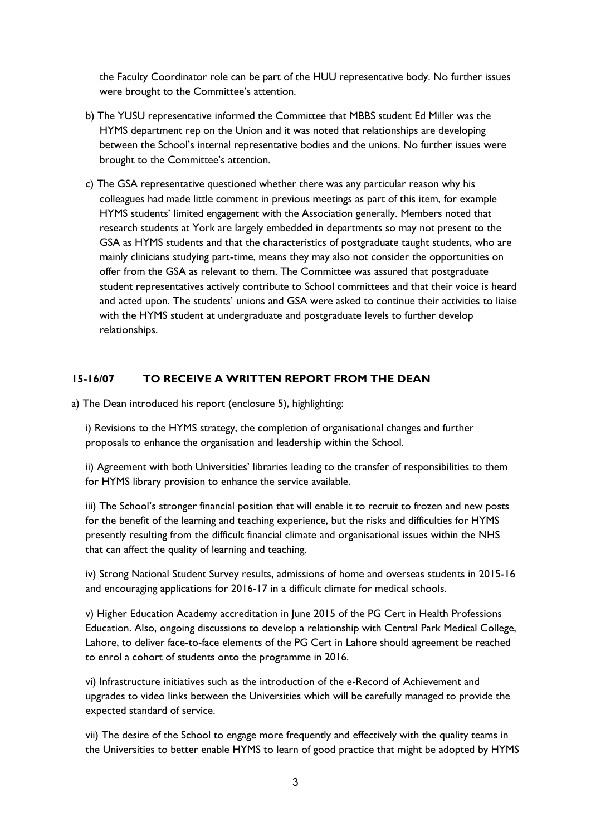the Faculty Coordinator role can be part of the HUU representative body. No further issues were brought to the Committee's attention.

- b) The YUSU representative informed the Committee that MBBS student Ed Miller was the HYMS department rep on the Union and it was noted that relationships are developing between the School's internal representative bodies and the unions. No further issues were brought to the Committee's attention.
- c) The GSA representative questioned whether there was any particular reason why his colleagues had made little comment in previous meetings as part of this item, for example HYMS students' limited engagement with the Association generally. Members noted that research students at York are largely embedded in departments so may not present to the GSA as HYMS students and that the characteristics of postgraduate taught students, who are mainly clinicians studying part-time, means they may also not consider the opportunities on offer from the GSA as relevant to them. The Committee was assured that postgraduate student representatives actively contribute to School committees and that their voice is heard and acted upon. The students' unions and GSA were asked to continue their activities to liaise with the HYMS student at undergraduate and postgraduate levels to further develop relationships.

### **15-16/07 TO RECEIVE A WRITTEN REPORT FROM THE DEAN**

a) The Dean introduced his report (enclosure 5), highlighting:

i) Revisions to the HYMS strategy, the completion of organisational changes and further proposals to enhance the organisation and leadership within the School.

ii) Agreement with both Universities' libraries leading to the transfer of responsibilities to them for HYMS library provision to enhance the service available.

iii) The School's stronger financial position that will enable it to recruit to frozen and new posts for the benefit of the learning and teaching experience, but the risks and difficulties for HYMS presently resulting from the difficult financial climate and organisational issues within the NHS that can affect the quality of learning and teaching.

iv) Strong National Student Survey results, admissions of home and overseas students in 2015-16 and encouraging applications for 2016-17 in a difficult climate for medical schools.

v) Higher Education Academy accreditation in June 2015 of the PG Cert in Health Professions Education. Also, ongoing discussions to develop a relationship with Central Park Medical College, Lahore, to deliver face-to-face elements of the PG Cert in Lahore should agreement be reached to enrol a cohort of students onto the programme in 2016.

vi) Infrastructure initiatives such as the introduction of the e-Record of Achievement and upgrades to video links between the Universities which will be carefully managed to provide the expected standard of service.

vii) The desire of the School to engage more frequently and effectively with the quality teams in the Universities to better enable HYMS to learn of good practice that might be adopted by HYMS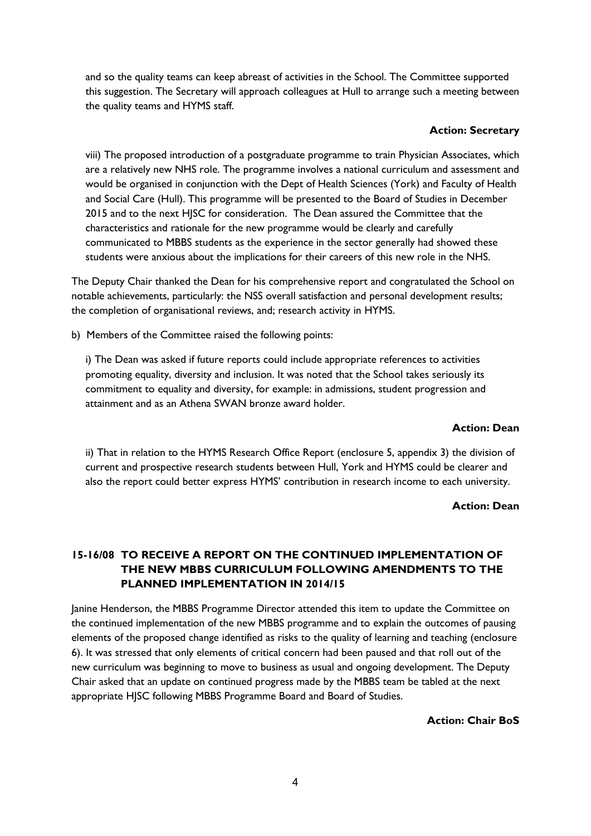and so the quality teams can keep abreast of activities in the School. The Committee supported this suggestion. The Secretary will approach colleagues at Hull to arrange such a meeting between the quality teams and HYMS staff.

#### **Action: Secretary**

viii) The proposed introduction of a postgraduate programme to train Physician Associates, which are a relatively new NHS role. The programme involves a national curriculum and assessment and would be organised in conjunction with the Dept of Health Sciences (York) and Faculty of Health and Social Care (Hull). This programme will be presented to the Board of Studies in December 2015 and to the next HJSC for consideration. The Dean assured the Committee that the characteristics and rationale for the new programme would be clearly and carefully communicated to MBBS students as the experience in the sector generally had showed these students were anxious about the implications for their careers of this new role in the NHS.

The Deputy Chair thanked the Dean for his comprehensive report and congratulated the School on notable achievements, particularly: the NSS overall satisfaction and personal development results; the completion of organisational reviews, and; research activity in HYMS.

b) Members of the Committee raised the following points:

i) The Dean was asked if future reports could include appropriate references to activities promoting equality, diversity and inclusion. It was noted that the School takes seriously its commitment to equality and diversity, for example: in admissions, student progression and attainment and as an Athena SWAN bronze award holder.

### **Action: Dean**

ii) That in relation to the HYMS Research Office Report (enclosure 5, appendix 3) the division of current and prospective research students between Hull, York and HYMS could be clearer and also the report could better express HYMS' contribution in research income to each university.

#### **Action: Dean**

# **15-16/08 TO RECEIVE A REPORT ON THE CONTINUED IMPLEMENTATION OF THE NEW MBBS CURRICULUM FOLLOWING AMENDMENTS TO THE PLANNED IMPLEMENTATION IN 2014/15**

Janine Henderson, the MBBS Programme Director attended this item to update the Committee on the continued implementation of the new MBBS programme and to explain the outcomes of pausing elements of the proposed change identified as risks to the quality of learning and teaching (enclosure 6). It was stressed that only elements of critical concern had been paused and that roll out of the new curriculum was beginning to move to business as usual and ongoing development. The Deputy Chair asked that an update on continued progress made by the MBBS team be tabled at the next appropriate HJSC following MBBS Programme Board and Board of Studies.

**Action: Chair BoS**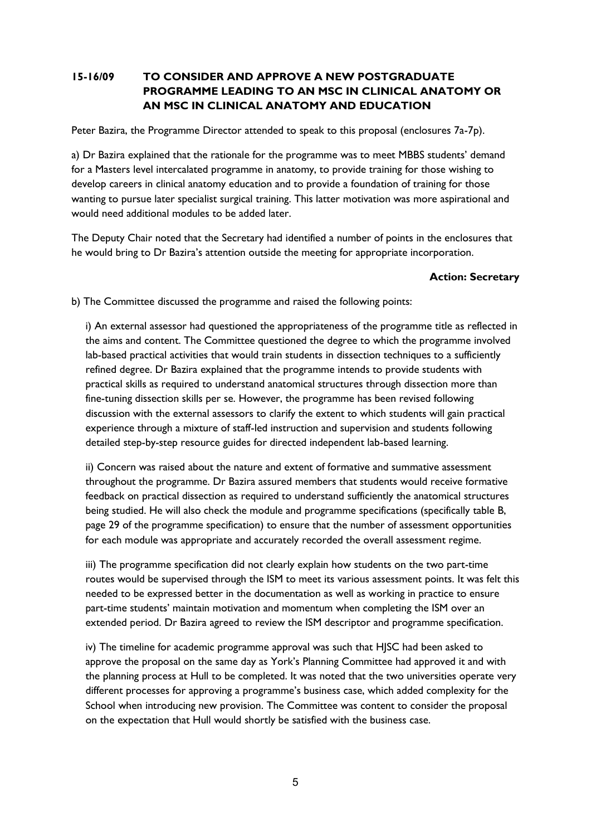# **15-16/09 TO CONSIDER AND APPROVE A NEW POSTGRADUATE PROGRAMME LEADING TO AN MSC IN CLINICAL ANATOMY OR AN MSC IN CLINICAL ANATOMY AND EDUCATION**

Peter Bazira, the Programme Director attended to speak to this proposal (enclosures 7a-7p).

a) Dr Bazira explained that the rationale for the programme was to meet MBBS students' demand for a Masters level intercalated programme in anatomy, to provide training for those wishing to develop careers in clinical anatomy education and to provide a foundation of training for those wanting to pursue later specialist surgical training. This latter motivation was more aspirational and would need additional modules to be added later.

The Deputy Chair noted that the Secretary had identified a number of points in the enclosures that he would bring to Dr Bazira's attention outside the meeting for appropriate incorporation.

### **Action: Secretary**

b) The Committee discussed the programme and raised the following points:

i) An external assessor had questioned the appropriateness of the programme title as reflected in the aims and content. The Committee questioned the degree to which the programme involved lab-based practical activities that would train students in dissection techniques to a sufficiently refined degree. Dr Bazira explained that the programme intends to provide students with practical skills as required to understand anatomical structures through dissection more than fine-tuning dissection skills per se. However, the programme has been revised following discussion with the external assessors to clarify the extent to which students will gain practical experience through a mixture of staff-led instruction and supervision and students following detailed step-by-step resource guides for directed independent lab-based learning.

ii) Concern was raised about the nature and extent of formative and summative assessment throughout the programme. Dr Bazira assured members that students would receive formative feedback on practical dissection as required to understand sufficiently the anatomical structures being studied. He will also check the module and programme specifications (specifically table B, page 29 of the programme specification) to ensure that the number of assessment opportunities for each module was appropriate and accurately recorded the overall assessment regime.

iii) The programme specification did not clearly explain how students on the two part-time routes would be supervised through the ISM to meet its various assessment points. It was felt this needed to be expressed better in the documentation as well as working in practice to ensure part-time students' maintain motivation and momentum when completing the ISM over an extended period. Dr Bazira agreed to review the ISM descriptor and programme specification.

iv) The timeline for academic programme approval was such that HJSC had been asked to approve the proposal on the same day as York's Planning Committee had approved it and with the planning process at Hull to be completed. It was noted that the two universities operate very different processes for approving a programme's business case, which added complexity for the School when introducing new provision. The Committee was content to consider the proposal on the expectation that Hull would shortly be satisfied with the business case.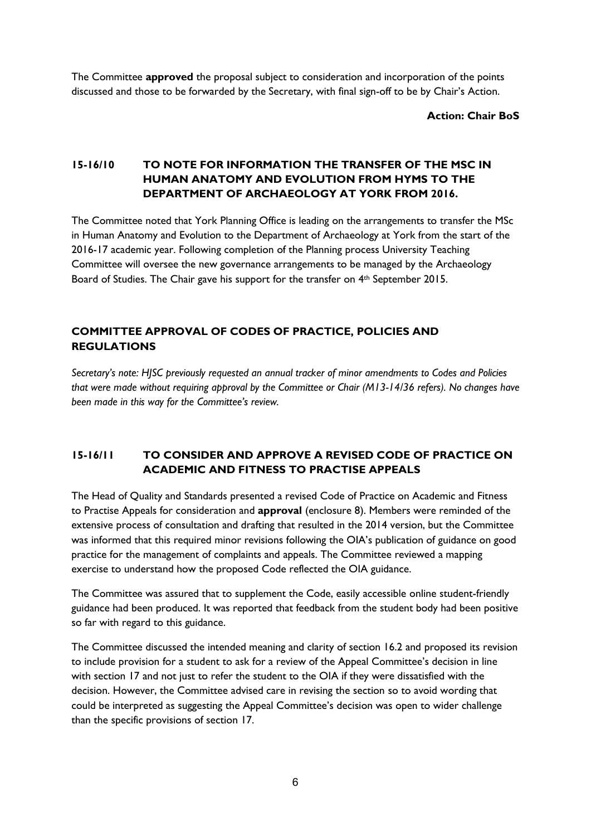The Committee **approved** the proposal subject to consideration and incorporation of the points discussed and those to be forwarded by the Secretary, with final sign-off to be by Chair's Action.

**Action: Chair BoS**

## **15-16/10 TO NOTE FOR INFORMATION THE TRANSFER OF THE MSC IN HUMAN ANATOMY AND EVOLUTION FROM HYMS TO THE DEPARTMENT OF ARCHAEOLOGY AT YORK FROM 2016.**

The Committee noted that York Planning Office is leading on the arrangements to transfer the MSc in Human Anatomy and Evolution to the Department of Archaeology at York from the start of the 2016-17 academic year. Following completion of the Planning process University Teaching Committee will oversee the new governance arrangements to be managed by the Archaeology Board of Studies. The Chair gave his support for the transfer on 4<sup>th</sup> September 2015.

## **COMMITTEE APPROVAL OF CODES OF PRACTICE, POLICIES AND REGULATIONS**

*Secretary's note: HJSC previously requested an annual tracker of minor amendments to Codes and Policies that were made without requiring approval by the Committee or Chair (M13-14/36 refers). No changes have been made in this way for the Committee's review.* 

# **15-16/11 TO CONSIDER AND APPROVE A REVISED CODE OF PRACTICE ON ACADEMIC AND FITNESS TO PRACTISE APPEALS**

The Head of Quality and Standards presented a revised Code of Practice on Academic and Fitness to Practise Appeals for consideration and **approval** (enclosure 8). Members were reminded of the extensive process of consultation and drafting that resulted in the 2014 version, but the Committee was informed that this required minor revisions following the OIA's publication of guidance on good practice for the management of complaints and appeals. The Committee reviewed a mapping exercise to understand how the proposed Code reflected the OIA guidance.

The Committee was assured that to supplement the Code, easily accessible online student-friendly guidance had been produced. It was reported that feedback from the student body had been positive so far with regard to this guidance.

The Committee discussed the intended meaning and clarity of section 16.2 and proposed its revision to include provision for a student to ask for a review of the Appeal Committee's decision in line with section 17 and not just to refer the student to the OIA if they were dissatisfied with the decision. However, the Committee advised care in revising the section so to avoid wording that could be interpreted as suggesting the Appeal Committee's decision was open to wider challenge than the specific provisions of section 17.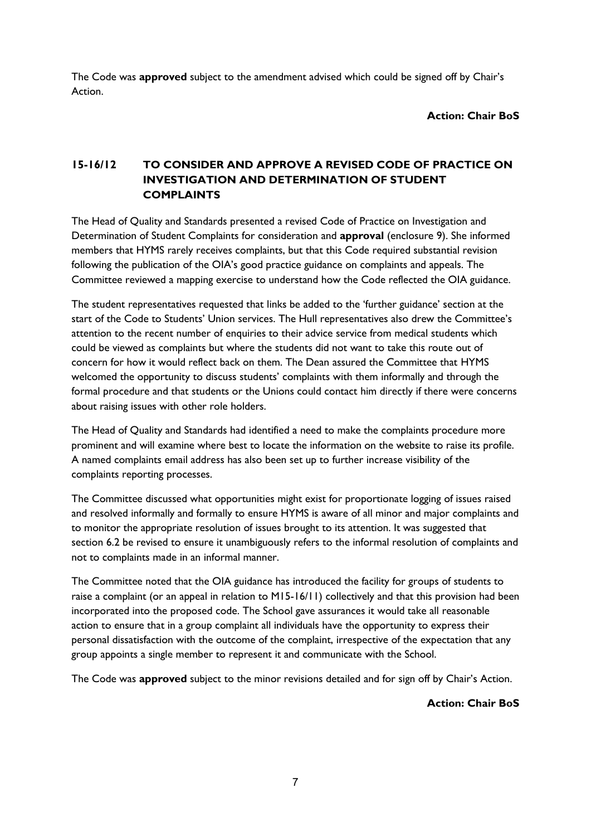The Code was **approved** subject to the amendment advised which could be signed off by Chair's Action.

**Action: Chair BoS**

# **15-16/12 TO CONSIDER AND APPROVE A REVISED CODE OF PRACTICE ON INVESTIGATION AND DETERMINATION OF STUDENT COMPLAINTS**

The Head of Quality and Standards presented a revised Code of Practice on Investigation and Determination of Student Complaints for consideration and **approval** (enclosure 9). She informed members that HYMS rarely receives complaints, but that this Code required substantial revision following the publication of the OIA's good practice guidance on complaints and appeals. The Committee reviewed a mapping exercise to understand how the Code reflected the OIA guidance.

The student representatives requested that links be added to the 'further guidance' section at the start of the Code to Students' Union services. The Hull representatives also drew the Committee's attention to the recent number of enquiries to their advice service from medical students which could be viewed as complaints but where the students did not want to take this route out of concern for how it would reflect back on them. The Dean assured the Committee that HYMS welcomed the opportunity to discuss students' complaints with them informally and through the formal procedure and that students or the Unions could contact him directly if there were concerns about raising issues with other role holders.

The Head of Quality and Standards had identified a need to make the complaints procedure more prominent and will examine where best to locate the information on the website to raise its profile. A named complaints email address has also been set up to further increase visibility of the complaints reporting processes.

The Committee discussed what opportunities might exist for proportionate logging of issues raised and resolved informally and formally to ensure HYMS is aware of all minor and major complaints and to monitor the appropriate resolution of issues brought to its attention. It was suggested that section 6.2 be revised to ensure it unambiguously refers to the informal resolution of complaints and not to complaints made in an informal manner.

The Committee noted that the OIA guidance has introduced the facility for groups of students to raise a complaint (or an appeal in relation to M15-16/11) collectively and that this provision had been incorporated into the proposed code. The School gave assurances it would take all reasonable action to ensure that in a group complaint all individuals have the opportunity to express their personal dissatisfaction with the outcome of the complaint, irrespective of the expectation that any group appoints a single member to represent it and communicate with the School.

The Code was **approved** subject to the minor revisions detailed and for sign off by Chair's Action.

**Action: Chair BoS**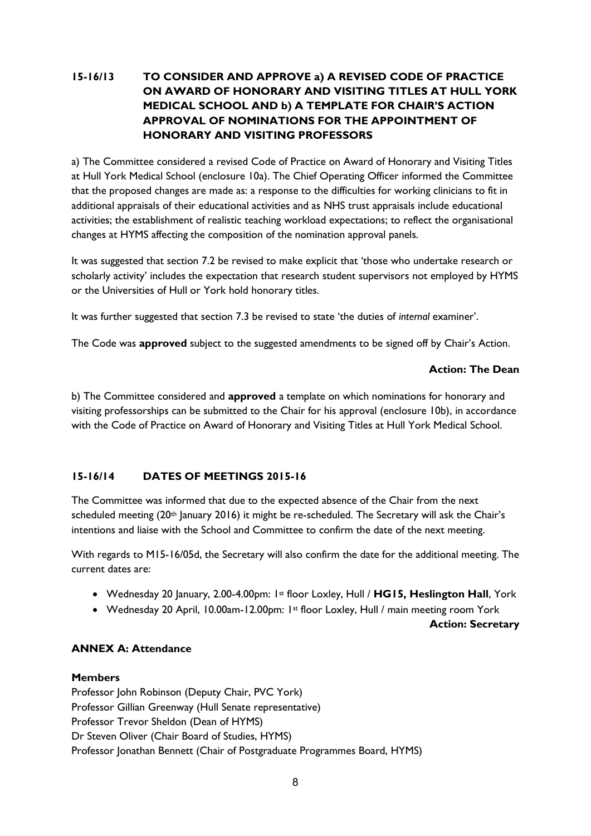# **15-16/13 TO CONSIDER AND APPROVE a) A REVISED CODE OF PRACTICE ON AWARD OF HONORARY AND VISITING TITLES AT HULL YORK MEDICAL SCHOOL AND b) A TEMPLATE FOR CHAIR'S ACTION APPROVAL OF NOMINATIONS FOR THE APPOINTMENT OF HONORARY AND VISITING PROFESSORS**

a) The Committee considered a revised Code of Practice on Award of Honorary and Visiting Titles at Hull York Medical School (enclosure 10a). The Chief Operating Officer informed the Committee that the proposed changes are made as: a response to the difficulties for working clinicians to fit in additional appraisals of their educational activities and as NHS trust appraisals include educational activities; the establishment of realistic teaching workload expectations; to reflect the organisational changes at HYMS affecting the composition of the nomination approval panels.

It was suggested that section 7.2 be revised to make explicit that 'those who undertake research or scholarly activity' includes the expectation that research student supervisors not employed by HYMS or the Universities of Hull or York hold honorary titles.

It was further suggested that section 7.3 be revised to state 'the duties of *internal* examiner'.

The Code was **approved** subject to the suggested amendments to be signed off by Chair's Action.

### **Action: The Dean**

b) The Committee considered and **approved** a template on which nominations for honorary and visiting professorships can be submitted to the Chair for his approval (enclosure 10b), in accordance with the Code of Practice on Award of Honorary and Visiting Titles at Hull York Medical School.

## **15-16/14 DATES OF MEETINGS 2015-16**

The Committee was informed that due to the expected absence of the Chair from the next scheduled meeting (20<sup>th</sup> January 2016) it might be re-scheduled. The Secretary will ask the Chair's intentions and liaise with the School and Committee to confirm the date of the next meeting.

With regards to M15-16/05d, the Secretary will also confirm the date for the additional meeting. The current dates are:

- Wednesday 20 January, 2.00-4.00pm: 1st floor Loxley, Hull / **HG15, Heslington Hall**, York
- Wednesday 20 April, 10.00am-12.00pm: 1st floor Loxley, Hull / main meeting room York

**Action: Secretary**

### **ANNEX A: Attendance**

### **Members**

Professor John Robinson (Deputy Chair, PVC York) Professor Gillian Greenway (Hull Senate representative) Professor Trevor Sheldon (Dean of HYMS) Dr Steven Oliver (Chair Board of Studies, HYMS) Professor Jonathan Bennett (Chair of Postgraduate Programmes Board, HYMS)